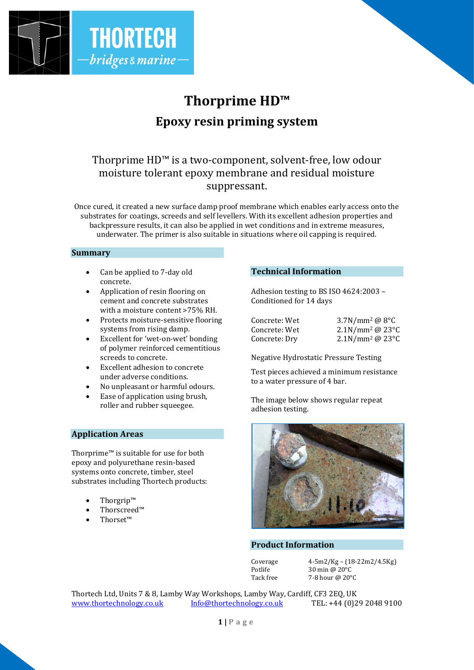

# **Thorprime HD™ Epoxy resin priming system**

# Thorprime HD™ is a two-component, solvent-free, low odour moisture tolerant epoxy membrane and residual moisture suppressant.

Once cured, it created a new surface damp proof membrane which enables early access onto the substrates for coatings, screeds and self levellers. With its excellent adhesion properties and backpressure results, it can also be applied in wet conditions and in extreme measures, underwater. The primer is also suitable in situations where oil capping is required.

#### **Summary**

- Can be applied to 7-day old concrete.
- Application of resin flooring on cement and concrete substrates with a moisture content >75% RH.
- Protects moisture-sensitive flooring systems from rising damp.
- Excellent for 'wet-on-wet' bonding of polymer reinforced cementitious screeds to concrete.
- Excellent adhesion to concrete under adverse conditions.
- No unpleasant or harmful odours.
- Ease of application using brush, roller and rubber squeegee.

# **Application Areas**

Thorprime™ is suitable for use for both epoxy and polyurethane resin-based systems onto concrete, timber, steel substrates including Thortech products:

- Thorgrip™
- Thorscreed™
- Thorset™

# **Technical Information**

Adhesion testing to BS ISO 4624:2003 – Conditioned for 14 days

| Concrete: Wet | $3.7N/mm^2 @ 8°C$                         |
|---------------|-------------------------------------------|
| Concrete: Wet | $2.1$ N/mm <sup>2</sup> @ 23 $^{\circ}$ C |
| Concrete: Dry | $2.1$ N/mm <sup>2</sup> @ 23 $^{\circ}$ C |

Negative Hydrostatic Pressure Testing

Test pieces achieved a minimum resistance to a water pressure of 4 bar.

The image below shows regular repeat adhesion testing.



#### **Product Information**

Coverage  $4-5m^2/Kg - (18-22m^2/4.5Kg)$ <br>Potlife  $30 \text{ min} \textcircled{a} 20^{\circ}C$ 30 min  $@$  20 $°C$ Tack free 7-8 hour @ 20°C

Thortech Ltd, Units 7 & 8, Lamby Way Workshops, Lamby Way, Cardiff, CF3 2EQ, UK [www.thortechnology.co.uk](http://www.thortechnology.co.uk/) [Info@thortechnology.co.uk](mailto:Info@thortechnology.co.uk) TEL: +44 (0)29 2048 9100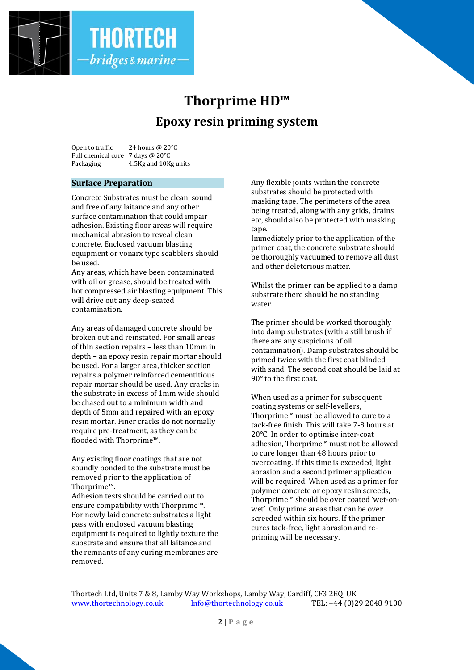

# **Thorprime HD™ Epoxy resin priming system**

Open to traffic 24 hours @ 20°C Full chemical cure 7 days @ 20°C Packaging 4.5Kg and 10Kg units

# **Surface Preparation**

Concrete Substrates must be clean, sound and free of any laitance and any other surface contamination that could impair adhesion. Existing floor areas will require mechanical abrasion to reveal clean concrete. Enclosed vacuum blasting equipment or vonarx type scabblers should be used.

Any areas, which have been contaminated with oil or grease, should be treated with hot compressed air blasting equipment. This will drive out any deep-seated contamination.

Any areas of damaged concrete should be broken out and reinstated. For small areas of thin section repairs – less than 10mm in depth – an epoxy resin repair mortar should be used. For a larger area, thicker section repairs a polymer reinforced cementitious repair mortar should be used. Any cracks in the substrate in excess of 1mm wide should be chased out to a minimum width and depth of 5mm and repaired with an epoxy resin mortar. Finer cracks do not normally require pre-treatment, as they can be flooded with Thorprime™.

Any existing floor coatings that are not soundly bonded to the substrate must be removed prior to the application of Thorprime™.

Adhesion tests should be carried out to ensure compatibility with Thorprime™. For newly laid concrete substrates a light pass with enclosed vacuum blasting equipment is required to lightly texture the substrate and ensure that all laitance and the remnants of any curing membranes are removed.

Any flexible joints within the concrete substrates should be protected with masking tape. The perimeters of the area being treated, along with any grids, drains etc, should also be protected with masking tape.

Immediately prior to the application of the primer coat, the concrete substrate should be thoroughly vacuumed to remove all dust and other deleterious matter.

Whilst the primer can be applied to a damp substrate there should be no standing water.

The primer should be worked thoroughly into damp substrates (with a still brush if there are any suspicions of oil contamination). Damp substrates should be primed twice with the first coat blinded with sand. The second coat should be laid at 90° to the first coat.

When used as a primer for subsequent coating systems or self-levellers, Thorprime™ must be allowed to cure to a tack-free finish. This will take 7-8 hours at 20°C. In order to optimise inter-coat adhesion, Thorprime™ must not be allowed to cure longer than 48 hours prior to overcoating. If this time is exceeded, light abrasion and a second primer application will be required. When used as a primer for polymer concrete or epoxy resin screeds, Thorprime™ should be over coated 'wet-onwet'. Only prime areas that can be over screeded within six hours. If the primer cures tack-free, light abrasion and repriming will be necessary.

Thortech Ltd, Units 7 & 8, Lamby Way Workshops, Lamby Way, Cardiff, CF3 2EQ, UK [www.thortechnology.co.uk](http://www.thortechnology.co.uk/) [Info@thortechnology.co.uk](mailto:Info@thortechnology.co.uk) TEL: +44 (0)29 2048 9100